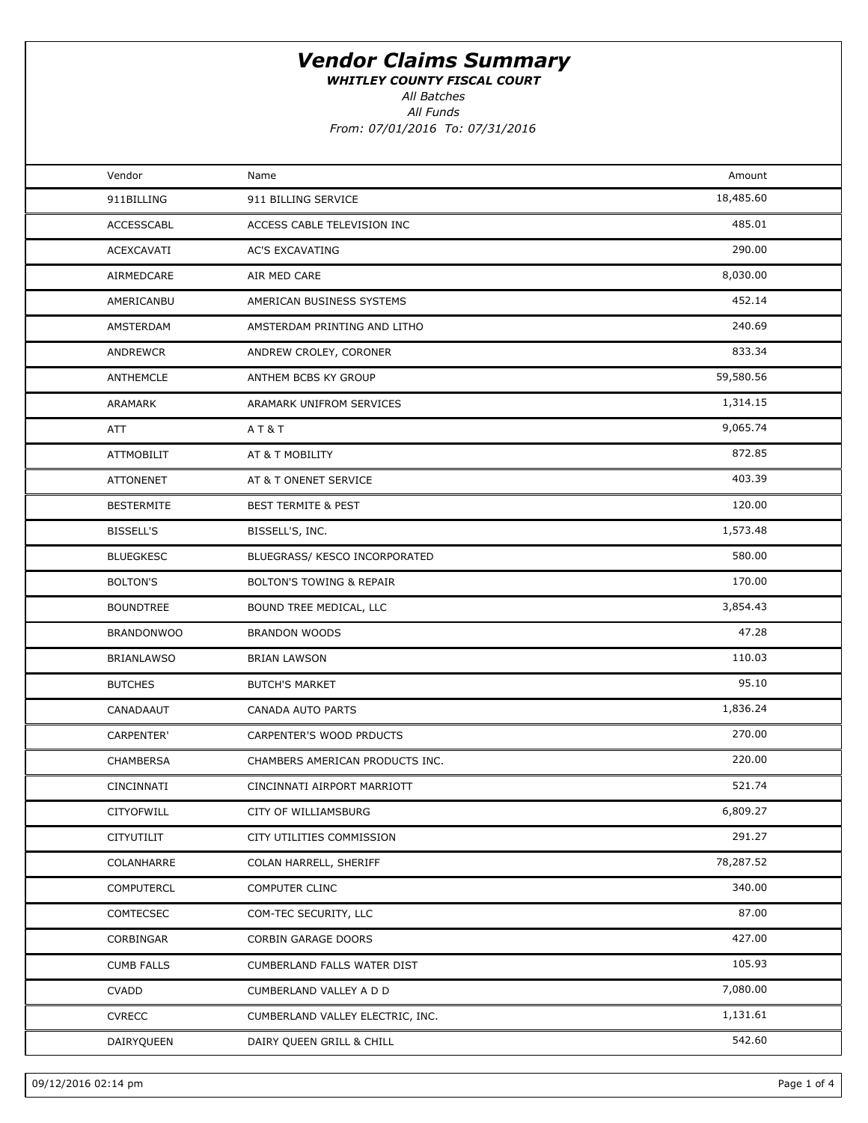WHITLEY COUNTY FISCAL COURT

All Batches

All Funds

From: 07/01/2016 To: 07/31/2016

| Vendor            | Name                                | Amount    |  |
|-------------------|-------------------------------------|-----------|--|
| 911BILLING        | 911 BILLING SERVICE                 | 18,485.60 |  |
| ACCESSCABL        | ACCESS CABLE TELEVISION INC         | 485.01    |  |
| ACEXCAVATI        | <b>AC'S EXCAVATING</b>              | 290.00    |  |
| AIRMEDCARE        | AIR MED CARE                        | 8,030.00  |  |
| AMERICANBU        | AMERICAN BUSINESS SYSTEMS           | 452.14    |  |
| AMSTERDAM         | AMSTERDAM PRINTING AND LITHO        | 240.69    |  |
| ANDREWCR          | ANDREW CROLEY, CORONER              | 833.34    |  |
| ANTHEMCLE         | ANTHEM BCBS KY GROUP                | 59,580.56 |  |
| ARAMARK           | ARAMARK UNIFROM SERVICES            | 1,314.15  |  |
| ATT               | AT&T                                | 9,065.74  |  |
| <b>ATTMOBILIT</b> | AT & T MOBILITY                     | 872.85    |  |
| <b>ATTONENET</b>  | AT & T ONENET SERVICE               | 403.39    |  |
| <b>BESTERMITE</b> | <b>BEST TERMITE &amp; PEST</b>      | 120.00    |  |
| <b>BISSELL'S</b>  | BISSELL'S, INC.                     | 1,573.48  |  |
| <b>BLUEGKESC</b>  | BLUEGRASS/ KESCO INCORPORATED       | 580.00    |  |
| <b>BOLTON'S</b>   | <b>BOLTON'S TOWING &amp; REPAIR</b> | 170.00    |  |
| <b>BOUNDTREE</b>  | BOUND TREE MEDICAL, LLC             | 3,854.43  |  |
| <b>BRANDONWOO</b> | <b>BRANDON WOODS</b>                | 47.28     |  |
| <b>BRIANLAWSO</b> | BRIAN LAWSON                        | 110.03    |  |
| <b>BUTCHES</b>    | <b>BUTCH'S MARKET</b>               | 95.10     |  |
| CANADAAUT         | CANADA AUTO PARTS                   | 1,836.24  |  |
| <b>CARPENTER'</b> | CARPENTER'S WOOD PRDUCTS            | 270.00    |  |
| CHAMBERSA         | CHAMBERS AMERICAN PRODUCTS INC.     | 220.00    |  |
| CINCINNATI        | CINCINNATI AIRPORT MARRIOTT         | 521.74    |  |
| CITYOFWILL        | CITY OF WILLIAMSBURG                | 6,809.27  |  |
| CITYUTILIT        | CITY UTILITIES COMMISSION           | 291.27    |  |
| COLANHARRE        | COLAN HARRELL, SHERIFF              | 78,287.52 |  |
| <b>COMPUTERCL</b> | COMPUTER CLINC                      | 340.00    |  |
| COMTECSEC         | COM-TEC SECURITY, LLC               | 87.00     |  |
| CORBINGAR         | CORBIN GARAGE DOORS                 | 427.00    |  |
| <b>CUMB FALLS</b> | CUMBERLAND FALLS WATER DIST         | 105.93    |  |
| <b>CVADD</b>      | CUMBERLAND VALLEY A D D             | 7,080.00  |  |
| <b>CVRECC</b>     | CUMBERLAND VALLEY ELECTRIC, INC.    | 1,131.61  |  |
| DAIRYQUEEN        | DAIRY QUEEN GRILL & CHILL           | 542.60    |  |
|                   |                                     |           |  |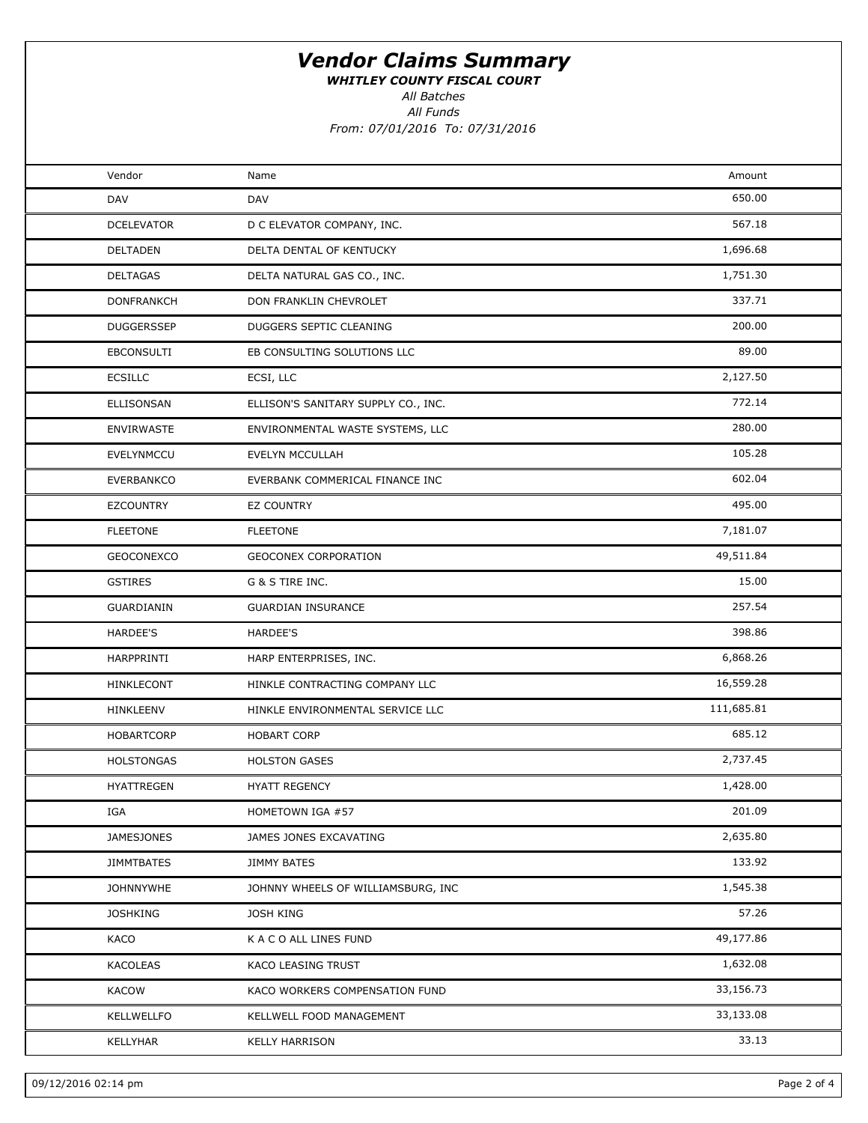WHITLEY COUNTY FISCAL COURT

All Batches

All Funds

From: 07/01/2016 To: 07/31/2016

| Vendor<br>Amount<br>Name<br>650.00<br>DAV<br><b>DAV</b><br>567.18<br><b>DCELEVATOR</b><br>D C ELEVATOR COMPANY, INC.<br>1,696.68<br><b>DELTADEN</b><br>DELTA DENTAL OF KENTUCKY<br>1,751.30<br><b>DELTAGAS</b><br>DELTA NATURAL GAS CO., INC.<br>337.71<br><b>DONFRANKCH</b><br>DON FRANKLIN CHEVROLET<br>200.00<br><b>DUGGERSSEP</b><br>DUGGERS SEPTIC CLEANING<br>89.00<br><b>EBCONSULTI</b><br>EB CONSULTING SOLUTIONS LLC<br>2,127.50<br><b>ECSILLC</b><br>ECSI, LLC<br>772.14<br>ELLISONSAN<br>ELLISON'S SANITARY SUPPLY CO., INC.<br>280.00<br><b>ENVIRWASTE</b><br>ENVIRONMENTAL WASTE SYSTEMS, LLC<br>105.28<br><b>EVELYNMCCU</b><br>EVELYN MCCULLAH<br>602.04<br><b>EVERBANKCO</b><br>EVERBANK COMMERICAL FINANCE INC<br>495.00<br><b>EZCOUNTRY</b><br><b>EZ COUNTRY</b><br>7,181.07<br><b>FLEETONE</b><br><b>FLEETONE</b><br>49,511.84<br><b>GEOCONEXCO</b><br>GEOCONEX CORPORATION<br>15.00<br>G & S TIRE INC.<br><b>GSTIRES</b><br>257.54<br>GUARDIANIN<br><b>GUARDIAN INSURANCE</b><br>398.86<br><b>HARDEE'S</b><br>HARDEE'S<br>6,868.26<br>HARPPRINTI<br>HARP ENTERPRISES, INC.<br>16,559.28<br>HINKLECONT<br>HINKLE CONTRACTING COMPANY LLC<br>111,685.81<br>HINKLEENV<br>HINKLE ENVIRONMENTAL SERVICE LLC<br>685.12<br>HOBARTCORP<br><b>HOBART CORP</b><br>2,737.45<br><b>HOLSTONGAS</b><br><b>HOLSTON GASES</b><br>1,428.00<br><b>HYATTREGEN</b><br><b>HYATT REGENCY</b><br>201.09<br>IGA<br>HOMETOWN IGA #57<br>2,635.80<br><b>JAMESJONES</b><br>JAMES JONES EXCAVATING<br>133.92<br><b>JIMMTBATES</b><br>JIMMY BATES<br>1,545.38<br><b>JOHNNYWHE</b><br>JOHNNY WHEELS OF WILLIAMSBURG, INC<br>57.26<br><b>JOSHKING</b><br>JOSH KING<br>49,177.86<br>KACO<br>K A C O ALL LINES FUND<br>1,632.08<br>KACOLEAS<br>KACO LEASING TRUST<br>33,156.73<br><b>KACOW</b><br>KACO WORKERS COMPENSATION FUND<br>33,133.08<br>KELLWELLFO<br>KELLWELL FOOD MANAGEMENT<br>33.13<br>KELLYHAR<br><b>KELLY HARRISON</b> |  |  |  |
|-------------------------------------------------------------------------------------------------------------------------------------------------------------------------------------------------------------------------------------------------------------------------------------------------------------------------------------------------------------------------------------------------------------------------------------------------------------------------------------------------------------------------------------------------------------------------------------------------------------------------------------------------------------------------------------------------------------------------------------------------------------------------------------------------------------------------------------------------------------------------------------------------------------------------------------------------------------------------------------------------------------------------------------------------------------------------------------------------------------------------------------------------------------------------------------------------------------------------------------------------------------------------------------------------------------------------------------------------------------------------------------------------------------------------------------------------------------------------------------------------------------------------------------------------------------------------------------------------------------------------------------------------------------------------------------------------------------------------------------------------------------------------------------------------------------------------------------------------------------------------------------------------------------------------|--|--|--|
|                                                                                                                                                                                                                                                                                                                                                                                                                                                                                                                                                                                                                                                                                                                                                                                                                                                                                                                                                                                                                                                                                                                                                                                                                                                                                                                                                                                                                                                                                                                                                                                                                                                                                                                                                                                                                                                                                                                         |  |  |  |
|                                                                                                                                                                                                                                                                                                                                                                                                                                                                                                                                                                                                                                                                                                                                                                                                                                                                                                                                                                                                                                                                                                                                                                                                                                                                                                                                                                                                                                                                                                                                                                                                                                                                                                                                                                                                                                                                                                                         |  |  |  |
|                                                                                                                                                                                                                                                                                                                                                                                                                                                                                                                                                                                                                                                                                                                                                                                                                                                                                                                                                                                                                                                                                                                                                                                                                                                                                                                                                                                                                                                                                                                                                                                                                                                                                                                                                                                                                                                                                                                         |  |  |  |
|                                                                                                                                                                                                                                                                                                                                                                                                                                                                                                                                                                                                                                                                                                                                                                                                                                                                                                                                                                                                                                                                                                                                                                                                                                                                                                                                                                                                                                                                                                                                                                                                                                                                                                                                                                                                                                                                                                                         |  |  |  |
|                                                                                                                                                                                                                                                                                                                                                                                                                                                                                                                                                                                                                                                                                                                                                                                                                                                                                                                                                                                                                                                                                                                                                                                                                                                                                                                                                                                                                                                                                                                                                                                                                                                                                                                                                                                                                                                                                                                         |  |  |  |
|                                                                                                                                                                                                                                                                                                                                                                                                                                                                                                                                                                                                                                                                                                                                                                                                                                                                                                                                                                                                                                                                                                                                                                                                                                                                                                                                                                                                                                                                                                                                                                                                                                                                                                                                                                                                                                                                                                                         |  |  |  |
|                                                                                                                                                                                                                                                                                                                                                                                                                                                                                                                                                                                                                                                                                                                                                                                                                                                                                                                                                                                                                                                                                                                                                                                                                                                                                                                                                                                                                                                                                                                                                                                                                                                                                                                                                                                                                                                                                                                         |  |  |  |
|                                                                                                                                                                                                                                                                                                                                                                                                                                                                                                                                                                                                                                                                                                                                                                                                                                                                                                                                                                                                                                                                                                                                                                                                                                                                                                                                                                                                                                                                                                                                                                                                                                                                                                                                                                                                                                                                                                                         |  |  |  |
|                                                                                                                                                                                                                                                                                                                                                                                                                                                                                                                                                                                                                                                                                                                                                                                                                                                                                                                                                                                                                                                                                                                                                                                                                                                                                                                                                                                                                                                                                                                                                                                                                                                                                                                                                                                                                                                                                                                         |  |  |  |
|                                                                                                                                                                                                                                                                                                                                                                                                                                                                                                                                                                                                                                                                                                                                                                                                                                                                                                                                                                                                                                                                                                                                                                                                                                                                                                                                                                                                                                                                                                                                                                                                                                                                                                                                                                                                                                                                                                                         |  |  |  |
|                                                                                                                                                                                                                                                                                                                                                                                                                                                                                                                                                                                                                                                                                                                                                                                                                                                                                                                                                                                                                                                                                                                                                                                                                                                                                                                                                                                                                                                                                                                                                                                                                                                                                                                                                                                                                                                                                                                         |  |  |  |
|                                                                                                                                                                                                                                                                                                                                                                                                                                                                                                                                                                                                                                                                                                                                                                                                                                                                                                                                                                                                                                                                                                                                                                                                                                                                                                                                                                                                                                                                                                                                                                                                                                                                                                                                                                                                                                                                                                                         |  |  |  |
|                                                                                                                                                                                                                                                                                                                                                                                                                                                                                                                                                                                                                                                                                                                                                                                                                                                                                                                                                                                                                                                                                                                                                                                                                                                                                                                                                                                                                                                                                                                                                                                                                                                                                                                                                                                                                                                                                                                         |  |  |  |
|                                                                                                                                                                                                                                                                                                                                                                                                                                                                                                                                                                                                                                                                                                                                                                                                                                                                                                                                                                                                                                                                                                                                                                                                                                                                                                                                                                                                                                                                                                                                                                                                                                                                                                                                                                                                                                                                                                                         |  |  |  |
|                                                                                                                                                                                                                                                                                                                                                                                                                                                                                                                                                                                                                                                                                                                                                                                                                                                                                                                                                                                                                                                                                                                                                                                                                                                                                                                                                                                                                                                                                                                                                                                                                                                                                                                                                                                                                                                                                                                         |  |  |  |
|                                                                                                                                                                                                                                                                                                                                                                                                                                                                                                                                                                                                                                                                                                                                                                                                                                                                                                                                                                                                                                                                                                                                                                                                                                                                                                                                                                                                                                                                                                                                                                                                                                                                                                                                                                                                                                                                                                                         |  |  |  |
|                                                                                                                                                                                                                                                                                                                                                                                                                                                                                                                                                                                                                                                                                                                                                                                                                                                                                                                                                                                                                                                                                                                                                                                                                                                                                                                                                                                                                                                                                                                                                                                                                                                                                                                                                                                                                                                                                                                         |  |  |  |
|                                                                                                                                                                                                                                                                                                                                                                                                                                                                                                                                                                                                                                                                                                                                                                                                                                                                                                                                                                                                                                                                                                                                                                                                                                                                                                                                                                                                                                                                                                                                                                                                                                                                                                                                                                                                                                                                                                                         |  |  |  |
|                                                                                                                                                                                                                                                                                                                                                                                                                                                                                                                                                                                                                                                                                                                                                                                                                                                                                                                                                                                                                                                                                                                                                                                                                                                                                                                                                                                                                                                                                                                                                                                                                                                                                                                                                                                                                                                                                                                         |  |  |  |
|                                                                                                                                                                                                                                                                                                                                                                                                                                                                                                                                                                                                                                                                                                                                                                                                                                                                                                                                                                                                                                                                                                                                                                                                                                                                                                                                                                                                                                                                                                                                                                                                                                                                                                                                                                                                                                                                                                                         |  |  |  |
|                                                                                                                                                                                                                                                                                                                                                                                                                                                                                                                                                                                                                                                                                                                                                                                                                                                                                                                                                                                                                                                                                                                                                                                                                                                                                                                                                                                                                                                                                                                                                                                                                                                                                                                                                                                                                                                                                                                         |  |  |  |
|                                                                                                                                                                                                                                                                                                                                                                                                                                                                                                                                                                                                                                                                                                                                                                                                                                                                                                                                                                                                                                                                                                                                                                                                                                                                                                                                                                                                                                                                                                                                                                                                                                                                                                                                                                                                                                                                                                                         |  |  |  |
|                                                                                                                                                                                                                                                                                                                                                                                                                                                                                                                                                                                                                                                                                                                                                                                                                                                                                                                                                                                                                                                                                                                                                                                                                                                                                                                                                                                                                                                                                                                                                                                                                                                                                                                                                                                                                                                                                                                         |  |  |  |
|                                                                                                                                                                                                                                                                                                                                                                                                                                                                                                                                                                                                                                                                                                                                                                                                                                                                                                                                                                                                                                                                                                                                                                                                                                                                                                                                                                                                                                                                                                                                                                                                                                                                                                                                                                                                                                                                                                                         |  |  |  |
|                                                                                                                                                                                                                                                                                                                                                                                                                                                                                                                                                                                                                                                                                                                                                                                                                                                                                                                                                                                                                                                                                                                                                                                                                                                                                                                                                                                                                                                                                                                                                                                                                                                                                                                                                                                                                                                                                                                         |  |  |  |
|                                                                                                                                                                                                                                                                                                                                                                                                                                                                                                                                                                                                                                                                                                                                                                                                                                                                                                                                                                                                                                                                                                                                                                                                                                                                                                                                                                                                                                                                                                                                                                                                                                                                                                                                                                                                                                                                                                                         |  |  |  |
|                                                                                                                                                                                                                                                                                                                                                                                                                                                                                                                                                                                                                                                                                                                                                                                                                                                                                                                                                                                                                                                                                                                                                                                                                                                                                                                                                                                                                                                                                                                                                                                                                                                                                                                                                                                                                                                                                                                         |  |  |  |
|                                                                                                                                                                                                                                                                                                                                                                                                                                                                                                                                                                                                                                                                                                                                                                                                                                                                                                                                                                                                                                                                                                                                                                                                                                                                                                                                                                                                                                                                                                                                                                                                                                                                                                                                                                                                                                                                                                                         |  |  |  |
|                                                                                                                                                                                                                                                                                                                                                                                                                                                                                                                                                                                                                                                                                                                                                                                                                                                                                                                                                                                                                                                                                                                                                                                                                                                                                                                                                                                                                                                                                                                                                                                                                                                                                                                                                                                                                                                                                                                         |  |  |  |
|                                                                                                                                                                                                                                                                                                                                                                                                                                                                                                                                                                                                                                                                                                                                                                                                                                                                                                                                                                                                                                                                                                                                                                                                                                                                                                                                                                                                                                                                                                                                                                                                                                                                                                                                                                                                                                                                                                                         |  |  |  |
|                                                                                                                                                                                                                                                                                                                                                                                                                                                                                                                                                                                                                                                                                                                                                                                                                                                                                                                                                                                                                                                                                                                                                                                                                                                                                                                                                                                                                                                                                                                                                                                                                                                                                                                                                                                                                                                                                                                         |  |  |  |
|                                                                                                                                                                                                                                                                                                                                                                                                                                                                                                                                                                                                                                                                                                                                                                                                                                                                                                                                                                                                                                                                                                                                                                                                                                                                                                                                                                                                                                                                                                                                                                                                                                                                                                                                                                                                                                                                                                                         |  |  |  |
|                                                                                                                                                                                                                                                                                                                                                                                                                                                                                                                                                                                                                                                                                                                                                                                                                                                                                                                                                                                                                                                                                                                                                                                                                                                                                                                                                                                                                                                                                                                                                                                                                                                                                                                                                                                                                                                                                                                         |  |  |  |
|                                                                                                                                                                                                                                                                                                                                                                                                                                                                                                                                                                                                                                                                                                                                                                                                                                                                                                                                                                                                                                                                                                                                                                                                                                                                                                                                                                                                                                                                                                                                                                                                                                                                                                                                                                                                                                                                                                                         |  |  |  |
|                                                                                                                                                                                                                                                                                                                                                                                                                                                                                                                                                                                                                                                                                                                                                                                                                                                                                                                                                                                                                                                                                                                                                                                                                                                                                                                                                                                                                                                                                                                                                                                                                                                                                                                                                                                                                                                                                                                         |  |  |  |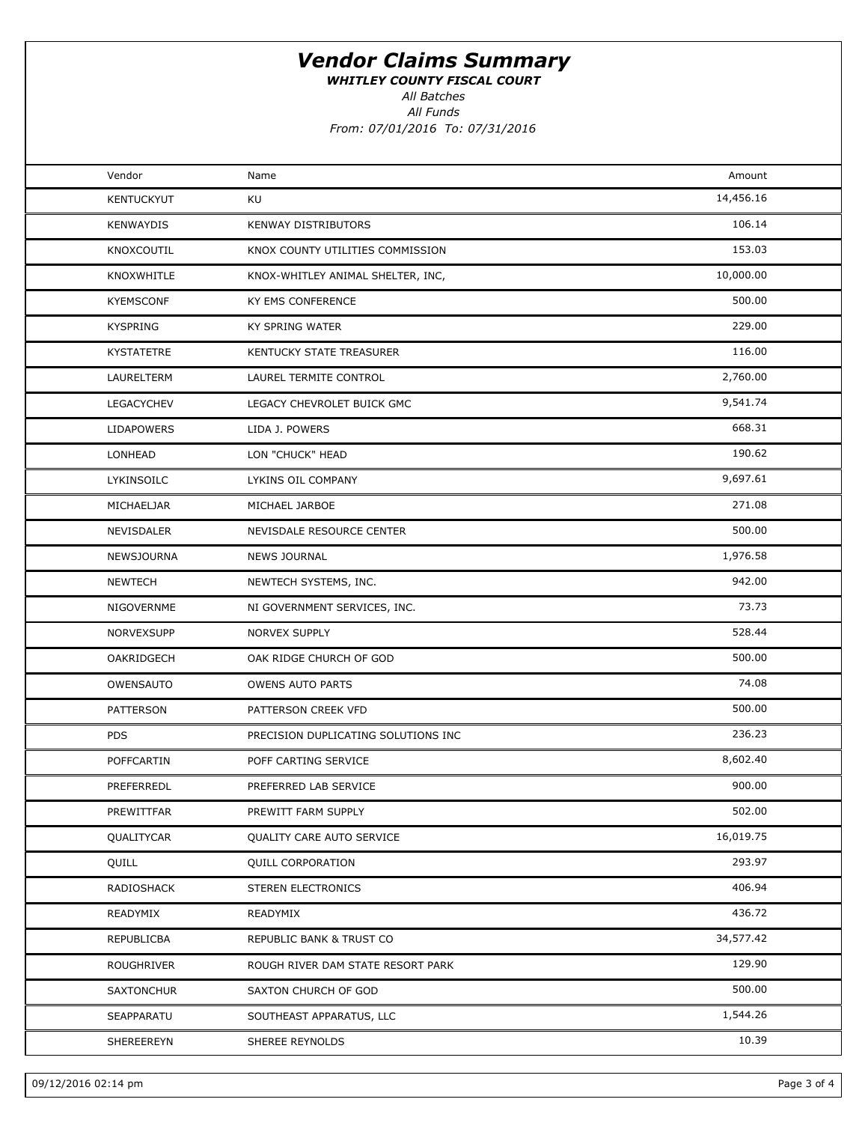WHITLEY COUNTY FISCAL COURT

All Batches

All Funds From: 07/01/2016 To: 07/31/2016

| Vendor            | Name                                | Amount    |  |
|-------------------|-------------------------------------|-----------|--|
| <b>KENTUCKYUT</b> | KU                                  | 14,456.16 |  |
| <b>KENWAYDIS</b>  | <b>KENWAY DISTRIBUTORS</b>          | 106.14    |  |
| KNOXCOUTIL        | KNOX COUNTY UTILITIES COMMISSION    | 153.03    |  |
| KNOXWHITLE        | KNOX-WHITLEY ANIMAL SHELTER, INC,   | 10,000.00 |  |
| <b>KYEMSCONF</b>  | KY EMS CONFERENCE                   | 500.00    |  |
| <b>KYSPRING</b>   | KY SPRING WATER                     | 229.00    |  |
| <b>KYSTATETRE</b> | KENTUCKY STATE TREASURER            | 116.00    |  |
| LAURELTERM        | LAUREL TERMITE CONTROL              | 2,760.00  |  |
| <b>LEGACYCHEV</b> | LEGACY CHEVROLET BUICK GMC          | 9,541.74  |  |
| LIDAPOWERS        | LIDA J. POWERS                      | 668.31    |  |
| LONHEAD           | LON "CHUCK" HEAD                    | 190.62    |  |
| LYKINSOILC        | LYKINS OIL COMPANY                  | 9,697.61  |  |
| MICHAELJAR        | MICHAEL JARBOE                      | 271.08    |  |
| NEVISDALER        | NEVISDALE RESOURCE CENTER           | 500.00    |  |
| NEWSJOURNA        | <b>NEWS JOURNAL</b>                 | 1,976.58  |  |
| <b>NEWTECH</b>    | NEWTECH SYSTEMS, INC.               | 942.00    |  |
| NIGOVERNME        | NI GOVERNMENT SERVICES, INC.        | 73.73     |  |
| NORVEXSUPP        | <b>NORVEX SUPPLY</b>                | 528.44    |  |
| OAKRIDGECH        | OAK RIDGE CHURCH OF GOD             | 500.00    |  |
| OWENSAUTO         | <b>OWENS AUTO PARTS</b>             | 74.08     |  |
| PATTERSON         | PATTERSON CREEK VFD                 | 500.00    |  |
| <b>PDS</b>        | PRECISION DUPLICATING SOLUTIONS INC | 236.23    |  |
| POFFCARTIN        | POFF CARTING SERVICE                | 8,602.40  |  |
| PREFERREDL        | PREFERRED LAB SERVICE               | 900.00    |  |
| PREWITTFAR        | PREWITT FARM SUPPLY                 | 502.00    |  |
| QUALITYCAR        | QUALITY CARE AUTO SERVICE           | 16,019.75 |  |
| QUILL             | <b>QUILL CORPORATION</b>            | 293.97    |  |
| RADIOSHACK        | STEREN ELECTRONICS                  | 406.94    |  |
| READYMIX          | READYMIX                            | 436.72    |  |
| REPUBLICBA        | REPUBLIC BANK & TRUST CO            | 34,577.42 |  |
| ROUGHRIVER        | ROUGH RIVER DAM STATE RESORT PARK   | 129.90    |  |
| <b>SAXTONCHUR</b> | SAXTON CHURCH OF GOD                | 500.00    |  |
| SEAPPARATU        | SOUTHEAST APPARATUS, LLC            | 1,544.26  |  |
| SHEREEREYN        | SHEREE REYNOLDS                     | 10.39     |  |
|                   |                                     |           |  |